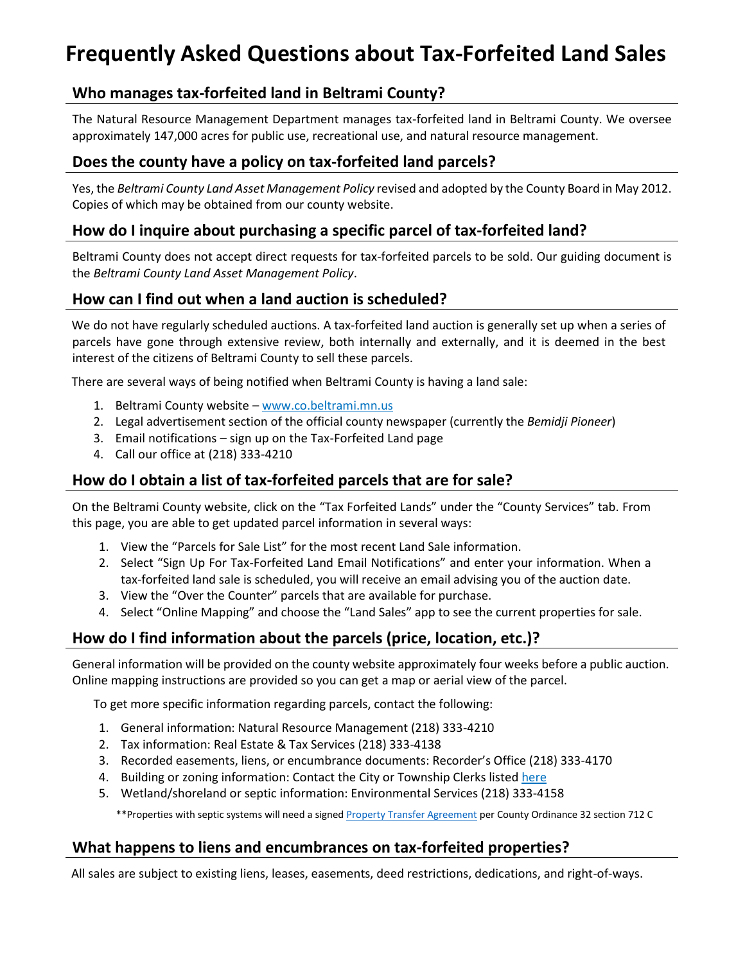# **Frequently Asked Questions about Tax-Forfeited Land Sales**

# **Who manages tax-forfeited land in Beltrami County?**

The Natural Resource Management Department manages tax-forfeited land in Beltrami County. We oversee approximately 147,000 acres for public use, recreational use, and natural resource management.

## **Does the county have a policy on tax-forfeited land parcels?**

Yes, the *Beltrami County Land Asset Management Policy* revised and adopted by the County Board in May 2012. Copies of which may be obtained from our county website.

# **How do I inquire about purchasing a specific parcel of tax-forfeited land?**

Beltrami County does not accept direct requests for tax-forfeited parcels to be sold. Our guiding document is the *Beltrami County Land Asset Management Policy*.

# **How can I find out when a land auction is scheduled?**

We do not have regularly scheduled auctions. A tax-forfeited land auction is generally set up when a series of parcels have gone through extensive review, both internally and externally, and it is deemed in the best interest of the citizens of Beltrami County to sell these parcels.

There are several ways of being notified when Beltrami County is having a land sale:

- 1. Beltrami County website www.co.beltrami.mn.us
- 2. Legal advertisement section of the official county newspaper (currently the *Bemidji Pioneer*)
- 3. Email notifications sign up on the Tax-Forfeited Land page
- 4. Call our office at (218) 333-4210

# **How do I obtain a list of tax-forfeited parcels that are for sale?**

On the Beltrami County website, click on the "Tax Forfeited Lands" under the "County Services" tab. From this page, you are able to get updated parcel information in several ways:

- 1. View the "Parcels for Sale List" for the most recent Land Sale information.
- 2. Select "Sign Up For Tax-Forfeited Land Email Notifications" and enter your information. When a tax-forfeited land sale is scheduled, you will receive an email advising you of the auction date.
- 3. View the "Over the Counter" parcels that are available for purchase.
- 4. Select "Online Mapping" and choose the "Land Sales" app to see the current properties for sale.

# **How do I find information about the parcels (price, location, etc.)?**

General information will be provided on the county website approximately four weeks before a public auction. Online mapping instructions are provided so you can get a map or aerial view of the parcel.

To get more specific information regarding parcels, contact the following:

- 1. General information: Natural Resource Management (218) 333-4210
- 2. Tax information: Real Estate & Tax Services (218) 333-4138
- 3. Recorded easements, liens, or encumbrance documents: Recorder's Office (218) 333-4170
- 4. Building or zoning information: Contact the City or Township Clerks liste[d here](http://www.co.beltrami.mn.us/Departments/Auditor%20Treasurer/Resources/Township%20Officers%20List.pdf)
- 5. Wetland/shoreland or septic information: Environmental Services (218) 333-4158

\*\*Properties with septic systems will need a signed [Property Transfer Agreement](http://www.co.beltrami.mn.us/Document%20Center/Documents%20Forms/Env%20Services/SSTS%20Property%20Transfer%20Agreement.pdf) per County Ordinance 32 section 712 C

# **What happens to liens and encumbrances on tax-forfeited properties?**

All sales are subject to existing liens, leases, easements, deed restrictions, dedications, and right-of-ways.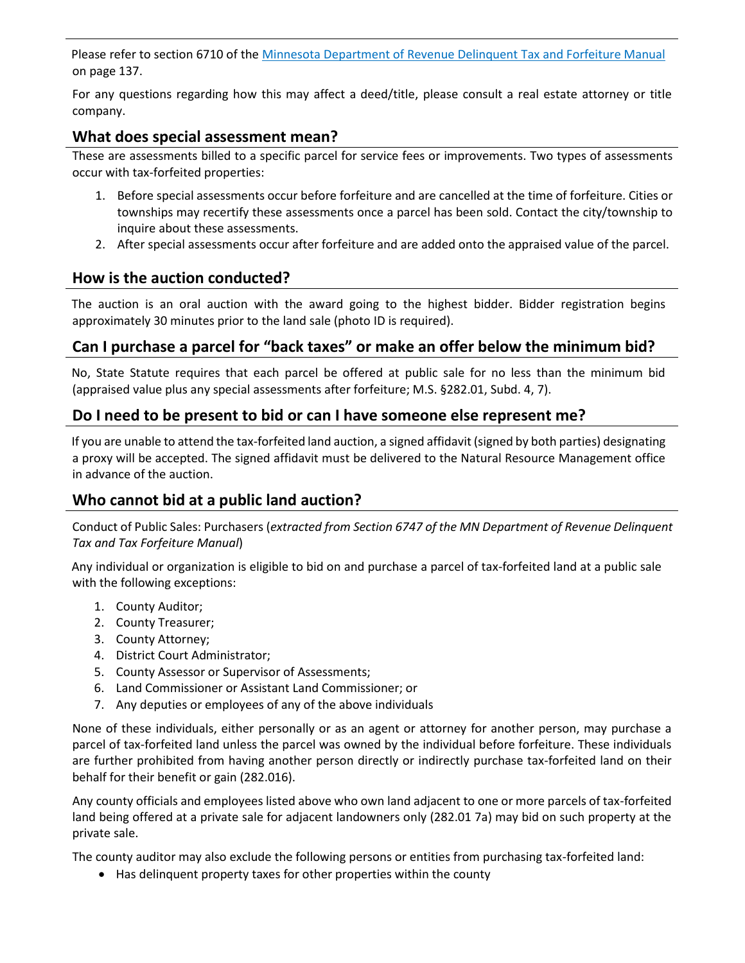Please refer to section 6710 of the [Minnesota Department of Revenue Delinquent Tax and Forfeiture Manual](https://www.revenue.state.mn.us/local_gov/prop_tax_admin/education/redbook.pdf) on page 137.

For any questions regarding how this may affect a deed/title, please consult a real estate attorney or title company.

#### **What does special assessment mean?**

These are assessments billed to a specific parcel for service fees or improvements. Two types of assessments occur with tax-forfeited properties:

- 1. Before special assessments occur before forfeiture and are cancelled at the time of forfeiture. Cities or townships may recertify these assessments once a parcel has been sold. Contact the city/township to inquire about these assessments.
- 2. After special assessments occur after forfeiture and are added onto the appraised value of the parcel.

#### **How is the auction conducted?**

The auction is an oral auction with the award going to the highest bidder. Bidder registration begins approximately 30 minutes prior to the land sale (photo ID is required).

# **Can I purchase a parcel for "back taxes" or make an offer below the minimum bid?**

No, State Statute requires that each parcel be offered at public sale for no less than the minimum bid (appraised value plus any special assessments after forfeiture; M.S. §282.01, Subd. 4, 7).

#### **Do I need to be present to bid or can I have someone else represent me?**

If you are unable to attend the tax-forfeited land auction, a signed affidavit (signed by both parties) designating a proxy will be accepted. The signed affidavit must be delivered to the Natural Resource Management office in advance of the auction.

#### **Who cannot bid at a public land auction?**

Conduct of Public Sales: Purchasers (*extracted from Section 6747 of the MN Department of Revenue Delinquent Tax and Tax Forfeiture Manual*)

Any individual or organization is eligible to bid on and purchase a parcel of tax-forfeited land at a public sale with the following exceptions:

- 1. County Auditor;
- 2. County Treasurer;
- 3. County Attorney;
- 4. District Court Administrator;
- 5. County Assessor or Supervisor of Assessments;
- 6. Land Commissioner or Assistant Land Commissioner; or
- 7. Any deputies or employees of any of the above individuals

None of these individuals, either personally or as an agent or attorney for another person, may purchase a parcel of tax-forfeited land unless the parcel was owned by the individual before forfeiture. These individuals are further prohibited from having another person directly or indirectly purchase tax-forfeited land on their behalf for their benefit or gain (282.016).

Any county officials and employees listed above who own land adjacent to one or more parcels of tax-forfeited land being offered at a private sale for adjacent landowners only (282.01 7a) may bid on such property at the private sale.

The county auditor may also exclude the following persons or entities from purchasing tax-forfeited land:

Has delinquent property taxes for other properties within the county